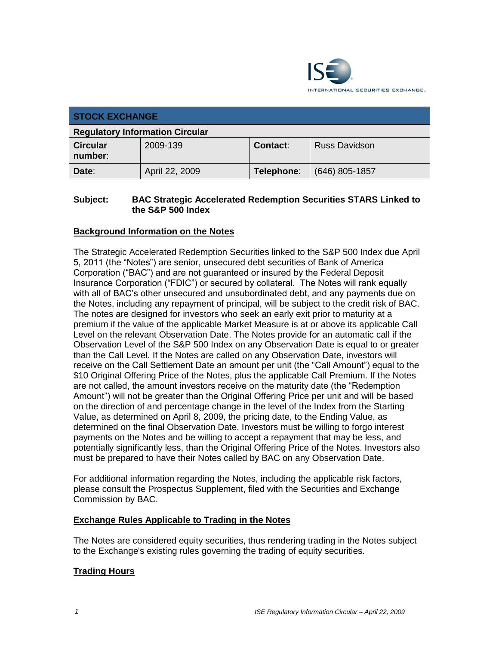

| <b>STOCK EXCHANGE</b>                  |                |            |                      |
|----------------------------------------|----------------|------------|----------------------|
| <b>Regulatory Information Circular</b> |                |            |                      |
| <b>Circular</b><br>number:             | 2009-139       | Contact:   | <b>Russ Davidson</b> |
| Date:                                  | April 22, 2009 | Telephone: | $(646)$ 805-1857     |

#### **Subject: BAC Strategic Accelerated Redemption Securities STARS Linked to the S&P 500 Index**

#### **Background Information on the Notes**

The Strategic Accelerated Redemption Securities linked to the S&P 500 Index due April 5, 2011 (the "Notes") are senior, unsecured debt securities of Bank of America Corporation ("BAC") and are not guaranteed or insured by the Federal Deposit Insurance Corporation ("FDIC") or secured by collateral. The Notes will rank equally with all of BAC's other unsecured and unsubordinated debt, and any payments due on the Notes, including any repayment of principal, will be subject to the credit risk of BAC. The notes are designed for investors who seek an early exit prior to maturity at a premium if the value of the applicable Market Measure is at or above its applicable Call Level on the relevant Observation Date. The Notes provide for an automatic call if the Observation Level of the S&P 500 Index on any Observation Date is equal to or greater than the Call Level. If the Notes are called on any Observation Date, investors will receive on the Call Settlement Date an amount per unit (the "Call Amount") equal to the \$10 Original Offering Price of the Notes, plus the applicable Call Premium. If the Notes are not called, the amount investors receive on the maturity date (the "Redemption Amount") will not be greater than the Original Offering Price per unit and will be based on the direction of and percentage change in the level of the Index from the Starting Value, as determined on April 8, 2009, the pricing date, to the Ending Value, as determined on the final Observation Date. Investors must be willing to forgo interest payments on the Notes and be willing to accept a repayment that may be less, and potentially significantly less, than the Original Offering Price of the Notes. Investors also must be prepared to have their Notes called by BAC on any Observation Date.

For additional information regarding the Notes, including the applicable risk factors, please consult the Prospectus Supplement, filed with the Securities and Exchange Commission by BAC.

#### **Exchange Rules Applicable to Trading in the Notes**

The Notes are considered equity securities, thus rendering trading in the Notes subject to the Exchange's existing rules governing the trading of equity securities.

### **Trading Hours**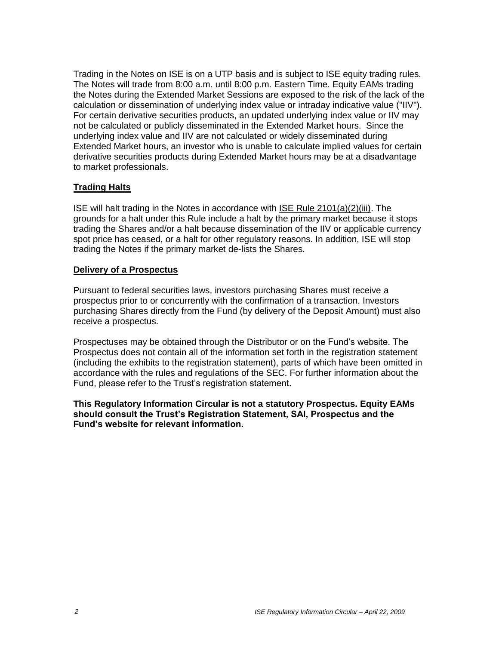Trading in the Notes on ISE is on a UTP basis and is subject to ISE equity trading rules. The Notes will trade from 8:00 a.m. until 8:00 p.m. Eastern Time. Equity EAMs trading the Notes during the Extended Market Sessions are exposed to the risk of the lack of the calculation or dissemination of underlying index value or intraday indicative value ("IIV"). For certain derivative securities products, an updated underlying index value or IIV may not be calculated or publicly disseminated in the Extended Market hours. Since the underlying index value and IIV are not calculated or widely disseminated during Extended Market hours, an investor who is unable to calculate implied values for certain derivative securities products during Extended Market hours may be at a disadvantage to market professionals.

#### **Trading Halts**

ISE will halt trading in the Notes in accordance with ISE Rule 2101(a)(2)(iii). The grounds for a halt under this Rule include a halt by the primary market because it stops trading the Shares and/or a halt because dissemination of the IIV or applicable currency spot price has ceased, or a halt for other regulatory reasons. In addition, ISE will stop trading the Notes if the primary market de-lists the Shares.

#### **Delivery of a Prospectus**

Pursuant to federal securities laws, investors purchasing Shares must receive a prospectus prior to or concurrently with the confirmation of a transaction. Investors purchasing Shares directly from the Fund (by delivery of the Deposit Amount) must also receive a prospectus.

Prospectuses may be obtained through the Distributor or on the Fund's website. The Prospectus does not contain all of the information set forth in the registration statement (including the exhibits to the registration statement), parts of which have been omitted in accordance with the rules and regulations of the SEC. For further information about the Fund, please refer to the Trust's registration statement.

**This Regulatory Information Circular is not a statutory Prospectus. Equity EAMs should consult the Trust's Registration Statement, SAI, Prospectus and the Fund's website for relevant information.**